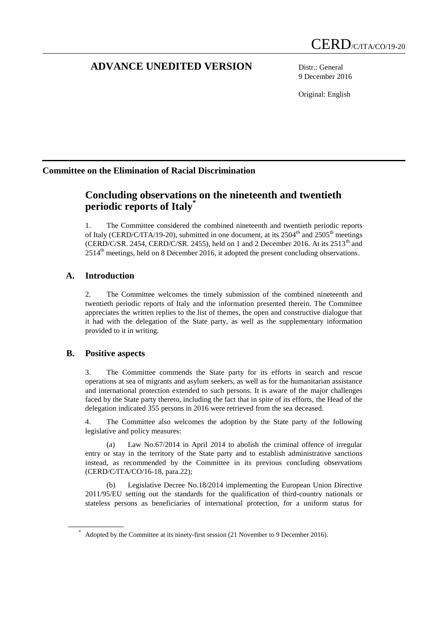# **ADVANCE UNEDITED VERSION** Distr.: General

9 December 2016

Original: English

## **Committee on the Elimination of Racial Discrimination**

# **Concluding observations on the nineteenth and twentieth periodic reports of Italy\***

1. The Committee considered the combined nineteenth and twentieth periodic reports of Italy (CERD/C/ITA/19-20), submitted in one document, at its  $2504<sup>th</sup>$  and  $2505<sup>th</sup>$  meetings (CERD/C/SR. 2454, CERD/C/SR. 2455), held on 1 and 2 December 2016. At its  $2513<sup>th</sup>$  and  $2514<sup>th</sup>$  meetings, held on 8 December 2016, it adopted the present concluding observations.

## **A. Introduction**

2. The Committee welcomes the timely submission of the combined nineteenth and twentieth periodic reports of Italy and the information presented therein. The Committee appreciates the written replies to the list of themes, the open and constructive dialogue that it had with the delegation of the State party, as well as the supplementary information provided to it in writing.

## **B. Positive aspects**

3. The Committee commends the State party for its efforts in search and rescue operations at sea of migrants and asylum seekers, as well as for the humanitarian assistance and international protection extended to such persons. It is aware of the major challenges faced by the State party thereto, including the fact that in spite of its efforts, the Head of the delegation indicated 355 persons in 2016 were retrieved from the sea deceased.

4. The Committee also welcomes the adoption by the State party of the following legislative and policy measures:

(a) Law No.67/2014 in April 2014 to abolish the criminal offence of irregular entry or stay in the territory of the State party and to establish administrative sanctions instead, as recommended by the Committee in its previous concluding observations (CERD/C/ITA/CO/16-18, para.22);

(b) Legislative Decree No.18/2014 implementing the European Union Directive 2011/95/EU setting out the standards for the qualification of third-country nationals or stateless persons as beneficiaries of international protection, for a uniform status for

Adopted by the Committee at its ninety-first session (21 November to 9 December 2016).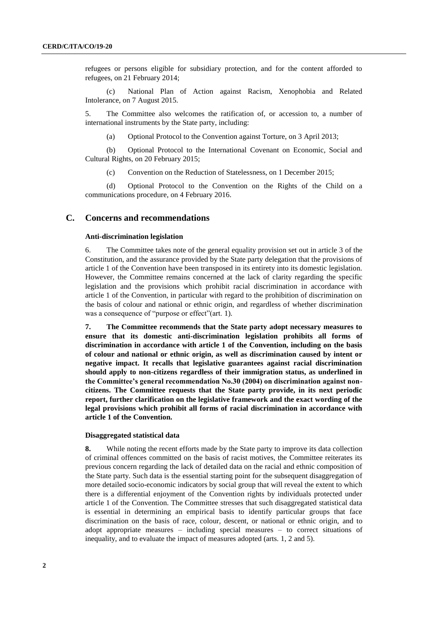refugees or persons eligible for subsidiary protection, and for the content afforded to refugees, on 21 February 2014;

(c) National Plan of Action against Racism, Xenophobia and Related Intolerance, on 7 August 2015.

5. The Committee also welcomes the ratification of, or accession to, a number of international instruments by the State party, including:

(a) Optional Protocol to the Convention against Torture, on 3 April 2013;

(b) Optional Protocol to the International Covenant on Economic, Social and Cultural Rights, on 20 February 2015;

(c) Convention on the Reduction of Statelessness, on 1 December 2015;

(d) Optional Protocol to the Convention on the Rights of the Child on a communications procedure, on 4 February 2016.

## **C. Concerns and recommendations**

## **Anti-discrimination legislation**

6. The Committee takes note of the general equality provision set out in article 3 of the Constitution, and the assurance provided by the State party delegation that the provisions of article 1 of the Convention have been transposed in its entirety into its domestic legislation. However, the Committee remains concerned at the lack of clarity regarding the specific legislation and the provisions which prohibit racial discrimination in accordance with article 1 of the Convention, in particular with regard to the prohibition of discrimination on the basis of colour and national or ethnic origin, and regardless of whether discrimination was a consequence of "purpose or effect"(art. 1).

**7. The Committee recommends that the State party adopt necessary measures to ensure that its domestic anti-discrimination legislation prohibits all forms of discrimination in accordance with article 1 of the Convention, including on the basis of colour and national or ethnic origin, as well as discrimination caused by intent or negative impact. It recalls that legislative guarantees against racial discrimination should apply to non-citizens regardless of their immigration status, as underlined in the Committee's general recommendation No.30 (2004) on discrimination against noncitizens. The Committee requests that the State party provide, in its next periodic report, further clarification on the legislative framework and the exact wording of the legal provisions which prohibit all forms of racial discrimination in accordance with article 1 of the Convention.**

## **Disaggregated statistical data**

**8.** While noting the recent efforts made by the State party to improve its data collection of criminal offences committed on the basis of racist motives, the Committee reiterates its previous concern regarding the lack of detailed data on the racial and ethnic composition of the State party. Such data is the essential starting point for the subsequent disaggregation of more detailed socio-economic indicators by social group that will reveal the extent to which there is a differential enjoyment of the Convention rights by individuals protected under article 1 of the Convention. The Committee stresses that such disaggregated statistical data is essential in determining an empirical basis to identify particular groups that face discrimination on the basis of race, colour, descent, or national or ethnic origin, and to adopt appropriate measures – including special measures – to correct situations of inequality, and to evaluate the impact of measures adopted (arts. 1, 2 and 5).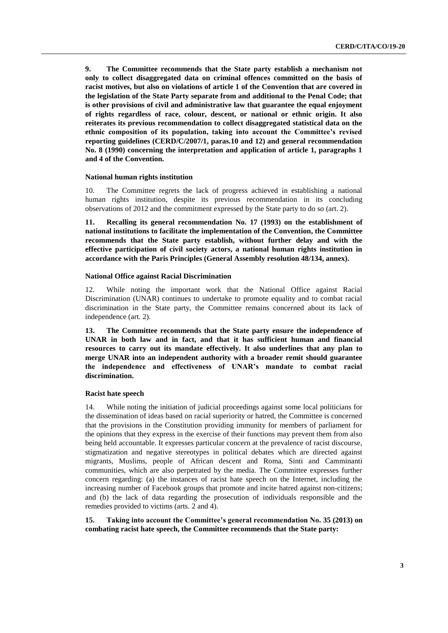**9. The Committee recommends that the State party establish a mechanism not only to collect disaggregated data on criminal offences committed on the basis of racist motives, but also on violations of article 1 of the Convention that are covered in the legislation of the State Party separate from and additional to the Penal Code; that is other provisions of civil and administrative law that guarantee the equal enjoyment of rights regardless of race, colour, descent, or national or ethnic origin. It also reiterates its previous recommendation to collect disaggregated statistical data on the ethnic composition of its population, taking into account the Committee's revised reporting guidelines (CERD/C/2007/1, paras.10 and 12) and general recommendation No. 8 (1990) concerning the interpretation and application of article 1, paragraphs 1 and 4 of the Convention.**

#### **National human rights institution**

10. The Committee regrets the lack of progress achieved in establishing a national human rights institution, despite its previous recommendation in its concluding observations of 2012 and the commitment expressed by the State party to do so (art. 2).

**11. Recalling its general recommendation No. 17 (1993) on the establishment of national institutions to facilitate the implementation of the Convention, the Committee recommends that the State party establish, without further delay and with the effective participation of civil society actors, a national human rights institution in accordance with the Paris Principles (General Assembly resolution 48/134, annex).** 

## **National Office against Racial Discrimination**

12. While noting the important work that the National Office against Racial Discrimination (UNAR) continues to undertake to promote equality and to combat racial discrimination in the State party, the Committee remains concerned about its lack of independence (art. 2).

**13. The Committee recommends that the State party ensure the independence of UNAR in both law and in fact, and that it has sufficient human and financial resources to carry out its mandate effectively. It also underlines that any plan to merge UNAR into an independent authority with a broader remit should guarantee the independence and effectiveness of UNAR's mandate to combat racial discrimination.** 

## **Racist hate speech**

14. While noting the initiation of judicial proceedings against some local politicians for the dissemination of ideas based on racial superiority or hatred, the Committee is concerned that the provisions in the Constitution providing immunity for members of parliament for the opinions that they express in the exercise of their functions may prevent them from also being held accountable. It expresses particular concern at the prevalence of racist discourse, stigmatization and negative stereotypes in political debates which are directed against migrants, Muslims, people of African descent and Roma, Sinti and Camminanti communities, which are also perpetrated by the media. The Committee expresses further concern regarding: (a) the instances of racist hate speech on the Internet, including the increasing number of Facebook groups that promote and incite hatred against non-citizens; and (b) the lack of data regarding the prosecution of individuals responsible and the remedies provided to victims (arts. 2 and 4).

**15. Taking into account the Committee's general recommendation No. 35 (2013) on combating racist hate speech, the Committee recommends that the State party:**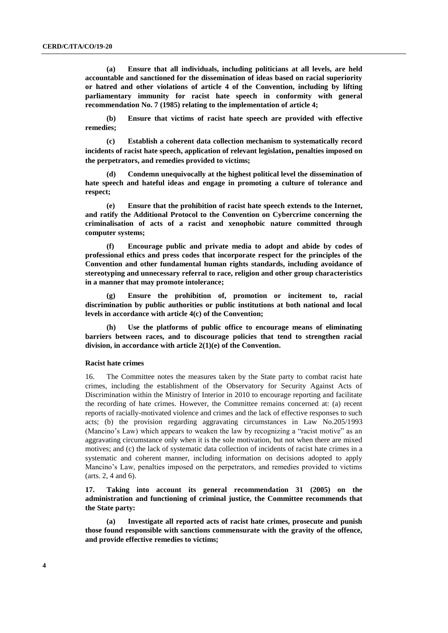**(a) Ensure that all individuals, including politicians at all levels, are held accountable and sanctioned for the dissemination of ideas based on racial superiority or hatred and other violations of article 4 of the Convention, including by lifting parliamentary immunity for racist hate speech in conformity with general recommendation No. 7 (1985) relating to the implementation of article 4;**

**(b) Ensure that victims of racist hate speech are provided with effective remedies;** 

**(c) Establish a coherent data collection mechanism to systematically record incidents of racist hate speech, application of relevant legislation, penalties imposed on the perpetrators, and remedies provided to victims;** 

**(d) Condemn unequivocally at the highest political level the dissemination of hate speech and hateful ideas and engage in promoting a culture of tolerance and respect;** 

**(e) Ensure that the prohibition of racist hate speech extends to the Internet, and ratify the Additional Protocol to the Convention on Cybercrime concerning the criminalisation of acts of a racist and xenophobic nature committed through computer systems;** 

**(f) Encourage public and private media to adopt and abide by codes of professional ethics and press codes that incorporate respect for the principles of the Convention and other fundamental human rights standards, including avoidance of stereotyping and unnecessary referral to race, religion and other group characteristics in a manner that may promote intolerance;** 

**(g) Ensure the prohibition of, promotion or incitement to, racial discrimination by public authorities or public institutions at both national and local levels in accordance with article 4(c) of the Convention;**

**(h) Use the platforms of public office to encourage means of eliminating barriers between races, and to discourage policies that tend to strengthen racial division, in accordance with article 2(1)(e) of the Convention.** 

### **Racist hate crimes**

16. The Committee notes the measures taken by the State party to combat racist hate crimes, including the establishment of the Observatory for Security Against Acts of Discrimination within the Ministry of Interior in 2010 to encourage reporting and facilitate the recording of hate crimes. However, the Committee remains concerned at: (a) recent reports of racially-motivated violence and crimes and the lack of effective responses to such acts; (b) the provision regarding aggravating circumstances in Law No.205/1993 (Mancino's Law) which appears to weaken the law by recognizing a "racist motive" as an aggravating circumstance only when it is the sole motivation, but not when there are mixed motives; and (c) the lack of systematic data collection of incidents of racist hate crimes in a systematic and coherent manner, including information on decisions adopted to apply Mancino's Law, penalties imposed on the perpetrators, and remedies provided to victims (arts. 2, 4 and 6).

**17. Taking into account its general recommendation 31 (2005) on the administration and functioning of criminal justice, the Committee recommends that the State party:** 

**(a) Investigate all reported acts of racist hate crimes, prosecute and punish those found responsible with sanctions commensurate with the gravity of the offence, and provide effective remedies to victims;**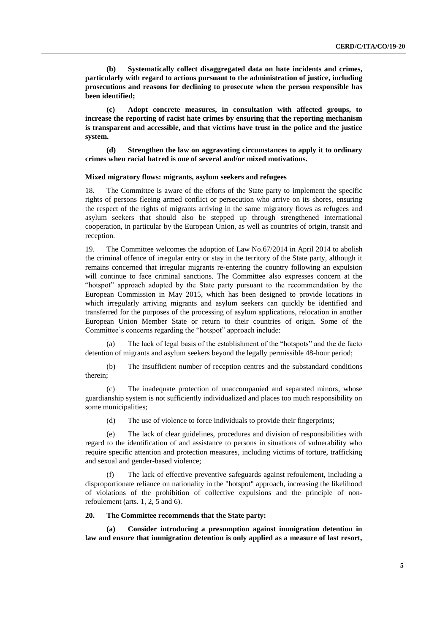**(b) Systematically collect disaggregated data on hate incidents and crimes, particularly with regard to actions pursuant to the administration of justice, including prosecutions and reasons for declining to prosecute when the person responsible has been identified;** 

**(c) Adopt concrete measures, in consultation with affected groups, to increase the reporting of racist hate crimes by ensuring that the reporting mechanism is transparent and accessible, and that victims have trust in the police and the justice system.**

**(d) Strengthen the law on aggravating circumstances to apply it to ordinary crimes when racial hatred is one of several and/or mixed motivations.** 

### **Mixed migratory flows: migrants, asylum seekers and refugees**

18. The Committee is aware of the efforts of the State party to implement the specific rights of persons fleeing armed conflict or persecution who arrive on its shores, ensuring the respect of the rights of migrants arriving in the same migratory flows as refugees and asylum seekers that should also be stepped up through strengthened international cooperation, in particular by the European Union, as well as countries of origin, transit and reception.

19. The Committee welcomes the adoption of Law No.67/2014 in April 2014 to abolish the criminal offence of irregular entry or stay in the territory of the State party, although it remains concerned that irregular migrants re-entering the country following an expulsion will continue to face criminal sanctions. The Committee also expresses concern at the "hotspot" approach adopted by the State party pursuant to the recommendation by the European Commission in May 2015, which has been designed to provide locations in which irregularly arriving migrants and asylum seekers can quickly be identified and transferred for the purposes of the processing of asylum applications, relocation in another European Union Member State or return to their countries of origin. Some of the Committee's concerns regarding the "hotspot" approach include:

(a) The lack of legal basis of the establishment of the "hotspots" and the de facto detention of migrants and asylum seekers beyond the legally permissible 48-hour period;

(b) The insufficient number of reception centres and the substandard conditions therein;

(c) The inadequate protection of unaccompanied and separated minors, whose guardianship system is not sufficiently individualized and places too much responsibility on some municipalities;

(d) The use of violence to force individuals to provide their fingerprints;

(e) The lack of clear guidelines, procedures and division of responsibilities with regard to the identification of and assistance to persons in situations of vulnerability who require specific attention and protection measures, including victims of torture, trafficking and sexual and gender-based violence;

(f) The lack of effective preventive safeguards against refoulement, including a disproportionate reliance on nationality in the "hotspot" approach, increasing the likelihood of violations of the prohibition of collective expulsions and the principle of nonrefoulement (arts. 1, 2, 5 and 6).

## **20. The Committee recommends that the State party:**

**(a) Consider introducing a presumption against immigration detention in law and ensure that immigration detention is only applied as a measure of last resort,**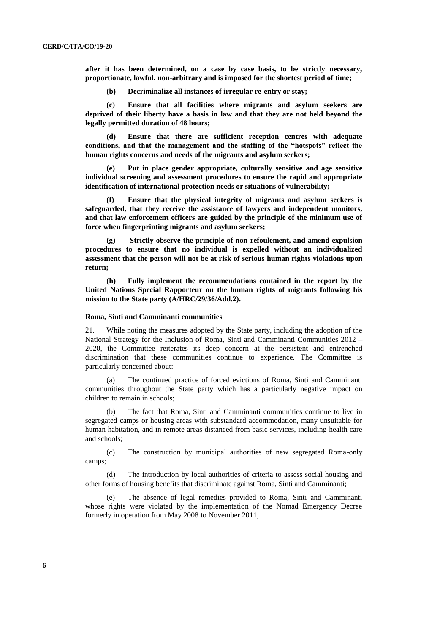**after it has been determined, on a case by case basis, to be strictly necessary, proportionate, lawful, non-arbitrary and is imposed for the shortest period of time;** 

**(b) Decriminalize all instances of irregular re-entry or stay;** 

**(c) Ensure that all facilities where migrants and asylum seekers are deprived of their liberty have a basis in law and that they are not held beyond the legally permitted duration of 48 hours;** 

**(d) Ensure that there are sufficient reception centres with adequate conditions, and that the management and the staffing of the "hotspots" reflect the human rights concerns and needs of the migrants and asylum seekers;** 

**(e) Put in place gender appropriate, culturally sensitive and age sensitive individual screening and assessment procedures to ensure the rapid and appropriate identification of international protection needs or situations of vulnerability;**

**(f) Ensure that the physical integrity of migrants and asylum seekers is safeguarded, that they receive the assistance of lawyers and independent monitors, and that law enforcement officers are guided by the principle of the minimum use of force when fingerprinting migrants and asylum seekers;**

**(g) Strictly observe the principle of non-refoulement, and amend expulsion procedures to ensure that no individual is expelled without an individualized assessment that the person will not be at risk of serious human rights violations upon return;** 

**(h) Fully implement the recommendations contained in the report by the United Nations Special Rapporteur on the human rights of migrants following his mission to the State party (A/HRC/29/36/Add.2).**

## **Roma, Sinti and Camminanti communities**

21. While noting the measures adopted by the State party, including the adoption of the National Strategy for the Inclusion of Roma, Sinti and Camminanti Communities 2012 – 2020, the Committee reiterates its deep concern at the persistent and entrenched discrimination that these communities continue to experience. The Committee is particularly concerned about:

(a) The continued practice of forced evictions of Roma, Sinti and Camminanti communities throughout the State party which has a particularly negative impact on children to remain in schools;

The fact that Roma, Sinti and Camminanti communities continue to live in segregated camps or housing areas with substandard accommodation, many unsuitable for human habitation, and in remote areas distanced from basic services, including health care and schools;

(c) The construction by municipal authorities of new segregated Roma-only camps;

(d) The introduction by local authorities of criteria to assess social housing and other forms of housing benefits that discriminate against Roma, Sinti and Camminanti;

(e) The absence of legal remedies provided to Roma, Sinti and Camminanti whose rights were violated by the implementation of the Nomad Emergency Decree formerly in operation from May 2008 to November 2011;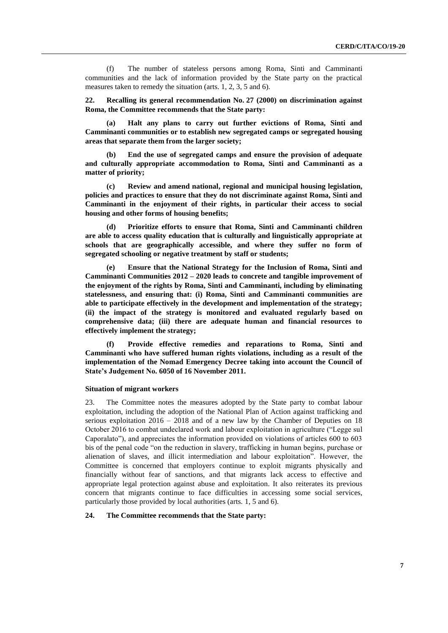(f) The number of stateless persons among Roma, Sinti and Camminanti communities and the lack of information provided by the State party on the practical measures taken to remedy the situation (arts. 1, 2, 3, 5 and 6).

**22. Recalling its general recommendation No. 27 (2000) on discrimination against Roma, the Committee recommends that the State party:**

**(a) Halt any plans to carry out further evictions of Roma, Sinti and Camminanti communities or to establish new segregated camps or segregated housing areas that separate them from the larger society;**

**(b) End the use of segregated camps and ensure the provision of adequate and culturally appropriate accommodation to Roma, Sinti and Camminanti as a matter of priority;** 

**(c) Review and amend national, regional and municipal housing legislation, policies and practices to ensure that they do not discriminate against Roma, Sinti and Camminanti in the enjoyment of their rights, in particular their access to social housing and other forms of housing benefits;** 

**(d) Prioritize efforts to ensure that Roma, Sinti and Camminanti children are able to access quality education that is culturally and linguistically appropriate at schools that are geographically accessible, and where they suffer no form of segregated schooling or negative treatment by staff or students;** 

**(e) Ensure that the National Strategy for the Inclusion of Roma, Sinti and Camminanti Communities 2012 – 2020 leads to concrete and tangible improvement of the enjoyment of the rights by Roma, Sinti and Camminanti, including by eliminating statelessness, and ensuring that: (i) Roma, Sinti and Camminanti communities are able to participate effectively in the development and implementation of the strategy; (ii) the impact of the strategy is monitored and evaluated regularly based on comprehensive data; (iii) there are adequate human and financial resources to effectively implement the strategy;** 

**(f) Provide effective remedies and reparations to Roma, Sinti and Camminanti who have suffered human rights violations, including as a result of the implementation of the Nomad Emergency Decree taking into account the Council of State's Judgement No. 6050 of 16 November 2011.** 

### **Situation of migrant workers**

23. The Committee notes the measures adopted by the State party to combat labour exploitation, including the adoption of the National Plan of Action against trafficking and serious exploitation 2016 – 2018 and of a new law by the Chamber of Deputies on 18 October 2016 to combat undeclared work and labour exploitation in agriculture ("Legge sul Caporalato"), and appreciates the information provided on violations of articles 600 to 603 bis of the penal code "on the reduction in slavery, trafficking in human begins, purchase or alienation of slaves, and illicit intermediation and labour exploitation". However, the Committee is concerned that employers continue to exploit migrants physically and financially without fear of sanctions, and that migrants lack access to effective and appropriate legal protection against abuse and exploitation. It also reiterates its previous concern that migrants continue to face difficulties in accessing some social services, particularly those provided by local authorities (arts. 1, 5 and 6).

## **24. The Committee recommends that the State party:**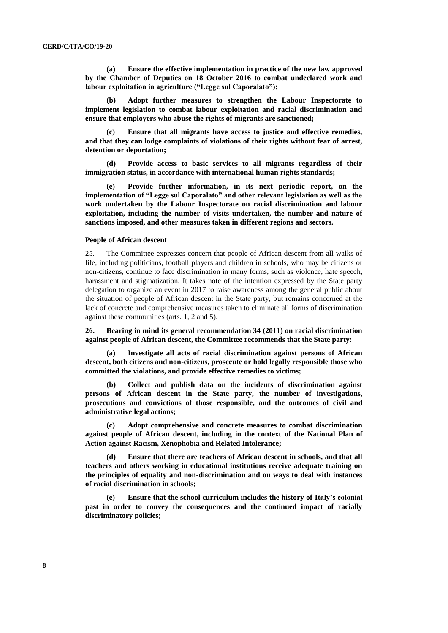**(a) Ensure the effective implementation in practice of the new law approved by the Chamber of Deputies on 18 October 2016 to combat undeclared work and labour exploitation in agriculture ("Legge sul Caporalato");** 

**(b) Adopt further measures to strengthen the Labour Inspectorate to implement legislation to combat labour exploitation and racial discrimination and ensure that employers who abuse the rights of migrants are sanctioned;** 

**(c) Ensure that all migrants have access to justice and effective remedies, and that they can lodge complaints of violations of their rights without fear of arrest, detention or deportation;** 

**(d) Provide access to basic services to all migrants regardless of their immigration status, in accordance with international human rights standards;** 

**(e) Provide further information, in its next periodic report, on the implementation of "Legge sul Caporalato" and other relevant legislation as well as the work undertaken by the Labour Inspectorate on racial discrimination and labour exploitation, including the number of visits undertaken, the number and nature of sanctions imposed, and other measures taken in different regions and sectors.**

#### **People of African descent**

25. The Committee expresses concern that people of African descent from all walks of life, including politicians, football players and children in schools, who may be citizens or non-citizens, continue to face discrimination in many forms, such as violence, hate speech, harassment and stigmatization. It takes note of the intention expressed by the State party delegation to organize an event in 2017 to raise awareness among the general public about the situation of people of African descent in the State party, but remains concerned at the lack of concrete and comprehensive measures taken to eliminate all forms of discrimination against these communities (arts. 1, 2 and 5).

**26. Bearing in mind its general recommendation 34 (2011) on racial discrimination against people of African descent, the Committee recommends that the State party:** 

**(a) Investigate all acts of racial discrimination against persons of African descent, both citizens and non-citizens, prosecute or hold legally responsible those who committed the violations, and provide effective remedies to victims;**

**(b) Collect and publish data on the incidents of discrimination against persons of African descent in the State party, the number of investigations, prosecutions and convictions of those responsible, and the outcomes of civil and administrative legal actions;**

**(c) Adopt comprehensive and concrete measures to combat discrimination against people of African descent, including in the context of the National Plan of Action against Racism, Xenophobia and Related Intolerance;** 

**(d) Ensure that there are teachers of African descent in schools, and that all teachers and others working in educational institutions receive adequate training on the principles of equality and non-discrimination and on ways to deal with instances of racial discrimination in schools;** 

**(e) Ensure that the school curriculum includes the history of Italy's colonial past in order to convey the consequences and the continued impact of racially discriminatory policies;**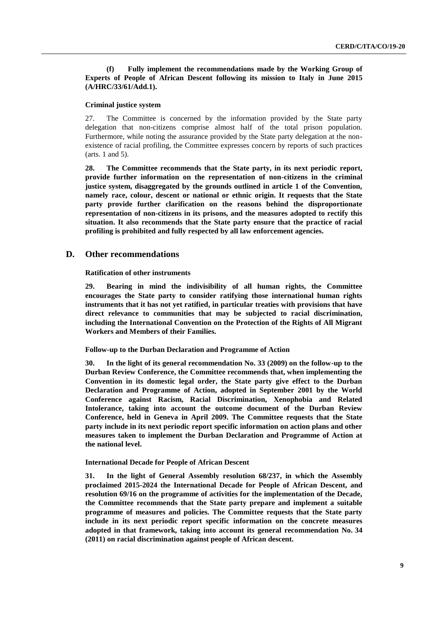**(f) Fully implement the recommendations made by the Working Group of Experts of People of African Descent following its mission to Italy in June 2015 (A/HRC/33/61/Add.1).** 

## **Criminal justice system**

27. The Committee is concerned by the information provided by the State party delegation that non-citizens comprise almost half of the total prison population. Furthermore, while noting the assurance provided by the State party delegation at the nonexistence of racial profiling, the Committee expresses concern by reports of such practices (arts. 1 and 5).

**28. The Committee recommends that the State party, in its next periodic report, provide further information on the representation of non-citizens in the criminal justice system, disaggregated by the grounds outlined in article 1 of the Convention, namely race, colour, descent or national or ethnic origin. It requests that the State party provide further clarification on the reasons behind the disproportionate representation of non-citizens in its prisons, and the measures adopted to rectify this situation. It also recommends that the State party ensure that the practice of racial profiling is prohibited and fully respected by all law enforcement agencies.**

## **D. Other recommendations**

**Ratification of other instruments**

**29. Bearing in mind the indivisibility of all human rights, the Committee encourages the State party to consider ratifying those international human rights instruments that it has not yet ratified, in particular treaties with provisions that have direct relevance to communities that may be subjected to racial discrimination, including the International Convention on the Protection of the Rights of All Migrant Workers and Members of their Families.** 

**Follow-up to the Durban Declaration and Programme of Action**

**30. In the light of its general recommendation No. 33 (2009) on the follow-up to the Durban Review Conference, the Committee recommends that, when implementing the Convention in its domestic legal order, the State party give effect to the Durban Declaration and Programme of Action, adopted in September 2001 by the World Conference against Racism, Racial Discrimination, Xenophobia and Related Intolerance, taking into account the outcome document of the Durban Review Conference, held in Geneva in April 2009. The Committee requests that the State party include in its next periodic report specific information on action plans and other measures taken to implement the Durban Declaration and Programme of Action at the national level.**

## **International Decade for People of African Descent**

**31. In the light of General Assembly resolution 68/237, in which the Assembly proclaimed 2015-2024 the International Decade for People of African Descent, and resolution 69/16 on the programme of activities for the implementation of the Decade, the Committee recommends that the State party prepare and implement a suitable programme of measures and policies. The Committee requests that the State party include in its next periodic report specific information on the concrete measures adopted in that framework, taking into account its general recommendation No. 34 (2011) on racial discrimination against people of African descent.**